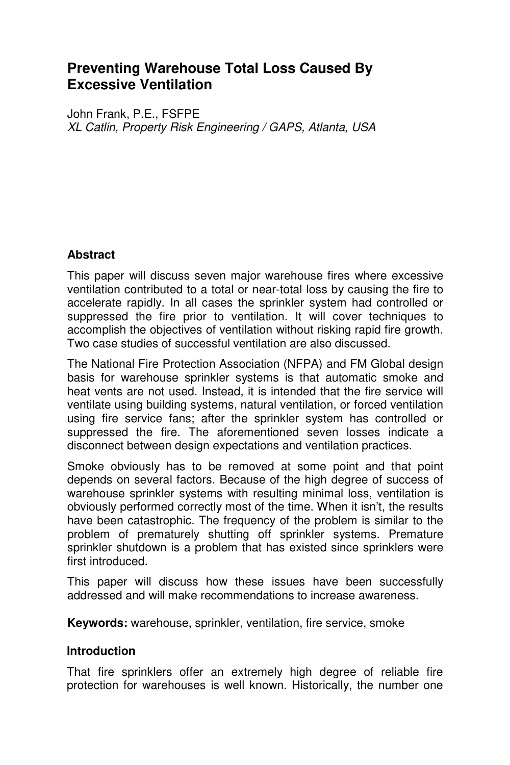# **Preventing Warehouse Total Loss Caused By Excessive Ventilation**

John Frank, P.E., FSFPE XL Catlin, Property Risk Engineering / GAPS, Atlanta, USA

## **Abstract**

This paper will discuss seven major warehouse fires where excessive ventilation contributed to a total or near-total loss by causing the fire to accelerate rapidly. In all cases the sprinkler system had controlled or suppressed the fire prior to ventilation. It will cover techniques to accomplish the objectives of ventilation without risking rapid fire growth. Two case studies of successful ventilation are also discussed.

The National Fire Protection Association (NFPA) and FM Global design basis for warehouse sprinkler systems is that automatic smoke and heat vents are not used. Instead, it is intended that the fire service will ventilate using building systems, natural ventilation, or forced ventilation using fire service fans; after the sprinkler system has controlled or suppressed the fire. The aforementioned seven losses indicate a disconnect between design expectations and ventilation practices.

Smoke obviously has to be removed at some point and that point depends on several factors. Because of the high degree of success of warehouse sprinkler systems with resulting minimal loss, ventilation is obviously performed correctly most of the time. When it isn't, the results have been catastrophic. The frequency of the problem is similar to the problem of prematurely shutting off sprinkler systems. Premature sprinkler shutdown is a problem that has existed since sprinklers were first introduced.

This paper will discuss how these issues have been successfully addressed and will make recommendations to increase awareness.

**Keywords:** warehouse, sprinkler, ventilation, fire service, smoke

### **Introduction**

That fire sprinklers offer an extremely high degree of reliable fire protection for warehouses is well known. Historically, the number one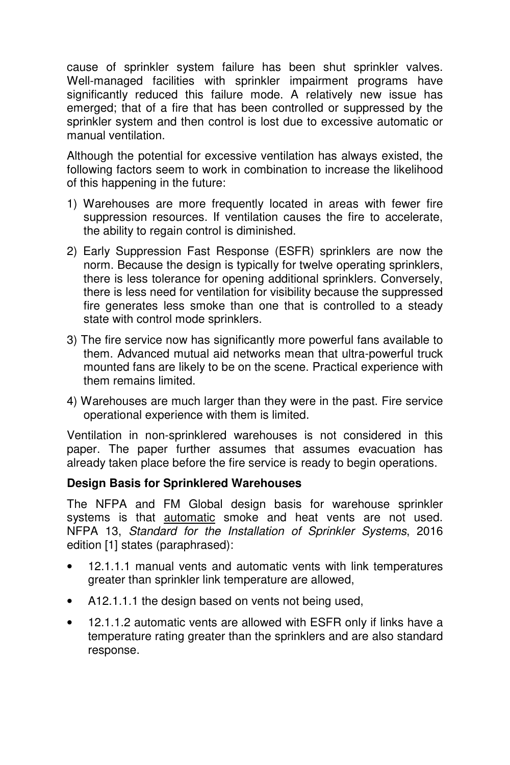cause of sprinkler system failure has been shut sprinkler valves. Well-managed facilities with sprinkler impairment programs have significantly reduced this failure mode. A relatively new issue has emerged; that of a fire that has been controlled or suppressed by the sprinkler system and then control is lost due to excessive automatic or manual ventilation.

Although the potential for excessive ventilation has always existed, the following factors seem to work in combination to increase the likelihood of this happening in the future:

- 1) Warehouses are more frequently located in areas with fewer fire suppression resources. If ventilation causes the fire to accelerate, the ability to regain control is diminished.
- 2) Early Suppression Fast Response (ESFR) sprinklers are now the norm. Because the design is typically for twelve operating sprinklers, there is less tolerance for opening additional sprinklers. Conversely, there is less need for ventilation for visibility because the suppressed fire generates less smoke than one that is controlled to a steady state with control mode sprinklers.
- 3) The fire service now has significantly more powerful fans available to them. Advanced mutual aid networks mean that ultra-powerful truck mounted fans are likely to be on the scene. Practical experience with them remains limited.
- 4) Warehouses are much larger than they were in the past. Fire service operational experience with them is limited.

Ventilation in non-sprinklered warehouses is not considered in this paper. The paper further assumes that assumes evacuation has already taken place before the fire service is ready to begin operations.

### **Design Basis for Sprinklered Warehouses**

The NFPA and FM Global design basis for warehouse sprinkler systems is that **automatic** smoke and heat vents are not used. NFPA 13, Standard for the Installation of Sprinkler Systems, 2016 edition [1] states (paraphrased):

- 12.1.1.1 manual vents and automatic vents with link temperatures greater than sprinkler link temperature are allowed,
- A12.1.1.1 the design based on vents not being used,
- 12.1.1.2 automatic vents are allowed with ESFR only if links have a temperature rating greater than the sprinklers and are also standard response.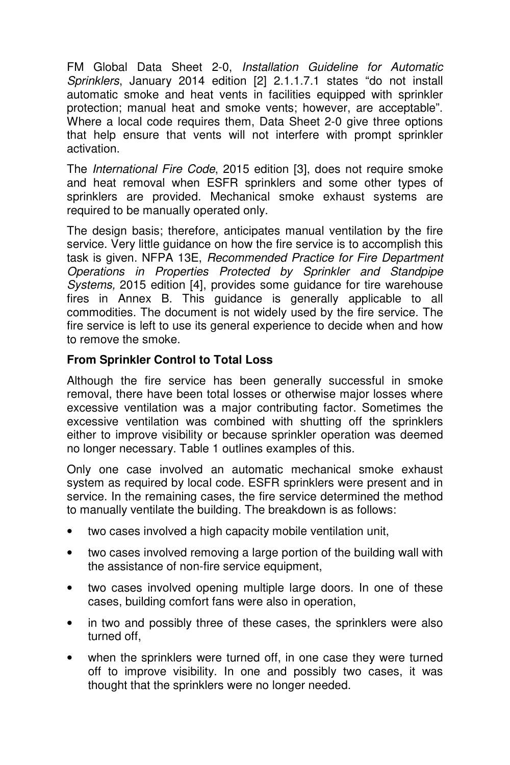FM Global Data Sheet 2-0, Installation Guideline for Automatic Sprinklers, January 2014 edition [2] 2.1.1.7.1 states "do not install automatic smoke and heat vents in facilities equipped with sprinkler protection; manual heat and smoke vents; however, are acceptable". Where a local code requires them, Data Sheet 2-0 give three options that help ensure that vents will not interfere with prompt sprinkler activation.

The International Fire Code, 2015 edition [3], does not require smoke and heat removal when ESFR sprinklers and some other types of sprinklers are provided. Mechanical smoke exhaust systems are required to be manually operated only.

The design basis; therefore, anticipates manual ventilation by the fire service. Very little guidance on how the fire service is to accomplish this task is given. NFPA 13E, Recommended Practice for Fire Department Operations in Properties Protected by Sprinkler and Standpipe Systems, 2015 edition [4], provides some guidance for tire warehouse fires in Annex B. This guidance is generally applicable to all commodities. The document is not widely used by the fire service. The fire service is left to use its general experience to decide when and how to remove the smoke.

### **From Sprinkler Control to Total Loss**

Although the fire service has been generally successful in smoke removal, there have been total losses or otherwise major losses where excessive ventilation was a major contributing factor. Sometimes the excessive ventilation was combined with shutting off the sprinklers either to improve visibility or because sprinkler operation was deemed no longer necessary. Table 1 outlines examples of this.

Only one case involved an automatic mechanical smoke exhaust system as required by local code. ESFR sprinklers were present and in service. In the remaining cases, the fire service determined the method to manually ventilate the building. The breakdown is as follows:

- two cases involved a high capacity mobile ventilation unit,
- two cases involved removing a large portion of the building wall with the assistance of non-fire service equipment,
- two cases involved opening multiple large doors. In one of these cases, building comfort fans were also in operation,
- in two and possibly three of these cases, the sprinklers were also turned off,
- when the sprinklers were turned off, in one case they were turned off to improve visibility. In one and possibly two cases, it was thought that the sprinklers were no longer needed.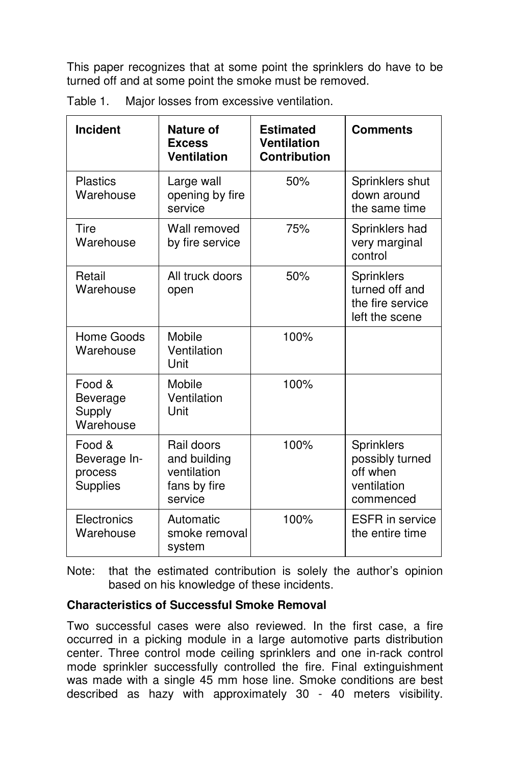This paper recognizes that at some point the sprinklers do have to be turned off and at some point the smoke must be removed.

| Incident                                      | Nature of<br><b>Excess</b><br><b>Ventilation</b>                     | <b>Estimated</b><br><b>Ventilation</b><br><b>Contribution</b> | <b>Comments</b>                                                       |
|-----------------------------------------------|----------------------------------------------------------------------|---------------------------------------------------------------|-----------------------------------------------------------------------|
| <b>Plastics</b><br>Warehouse                  | Large wall<br>opening by fire<br>service                             | 50%                                                           | Sprinklers shut<br>down around<br>the same time                       |
| Tire<br>Warehouse                             | Wall removed<br>by fire service                                      | 75%                                                           | Sprinklers had<br>very marginal<br>control                            |
| Retail<br>Warehouse                           | All truck doors<br>open                                              | 50%                                                           | Sprinklers<br>turned off and<br>the fire service<br>left the scene    |
| Home Goods<br>Warehouse                       | Mobile<br>Ventilation<br>Unit                                        | 100%                                                          |                                                                       |
| Food &<br>Beverage<br>Supply<br>Warehouse     | Mobile<br>Ventilation<br>Unit                                        | 100%                                                          |                                                                       |
| Food &<br>Beverage In-<br>process<br>Supplies | Rail doors<br>and building<br>ventilation<br>fans by fire<br>service | 100%                                                          | Sprinklers<br>possibly turned<br>off when<br>ventilation<br>commenced |
| Electronics<br>Warehouse                      | Automatic<br>smoke removal<br>system                                 | 100%                                                          | <b>ESFR</b> in service<br>the entire time                             |

Table 1. Major losses from excessive ventilation.

Note: that the estimated contribution is solely the author's opinion based on his knowledge of these incidents.

### **Characteristics of Successful Smoke Removal**

Two successful cases were also reviewed. In the first case, a fire occurred in a picking module in a large automotive parts distribution center. Three control mode ceiling sprinklers and one in-rack control mode sprinkler successfully controlled the fire. Final extinguishment was made with a single 45 mm hose line. Smoke conditions are best described as hazy with approximately 30 - 40 meters visibility.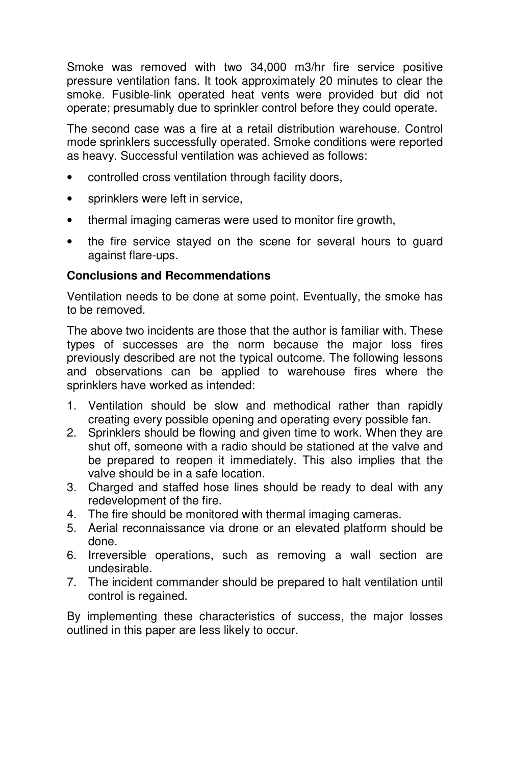Smoke was removed with two 34,000 m3/hr fire service positive pressure ventilation fans. It took approximately 20 minutes to clear the smoke. Fusible-link operated heat vents were provided but did not operate; presumably due to sprinkler control before they could operate.

The second case was a fire at a retail distribution warehouse. Control mode sprinklers successfully operated. Smoke conditions were reported as heavy. Successful ventilation was achieved as follows:

- controlled cross ventilation through facility doors,
- sprinklers were left in service,
- thermal imaging cameras were used to monitor fire growth,
- the fire service stayed on the scene for several hours to guard against flare-ups.

#### **Conclusions and Recommendations**

Ventilation needs to be done at some point. Eventually, the smoke has to be removed.

The above two incidents are those that the author is familiar with. These types of successes are the norm because the major loss fires previously described are not the typical outcome. The following lessons and observations can be applied to warehouse fires where the sprinklers have worked as intended:

- 1. Ventilation should be slow and methodical rather than rapidly creating every possible opening and operating every possible fan.
- 2. Sprinklers should be flowing and given time to work. When they are shut off, someone with a radio should be stationed at the valve and be prepared to reopen it immediately. This also implies that the valve should be in a safe location.
- 3. Charged and staffed hose lines should be ready to deal with any redevelopment of the fire.
- 4. The fire should be monitored with thermal imaging cameras.
- 5. Aerial reconnaissance via drone or an elevated platform should be done.
- 6. Irreversible operations, such as removing a wall section are undesirable.
- 7. The incident commander should be prepared to halt ventilation until control is regained.

By implementing these characteristics of success, the major losses outlined in this paper are less likely to occur.